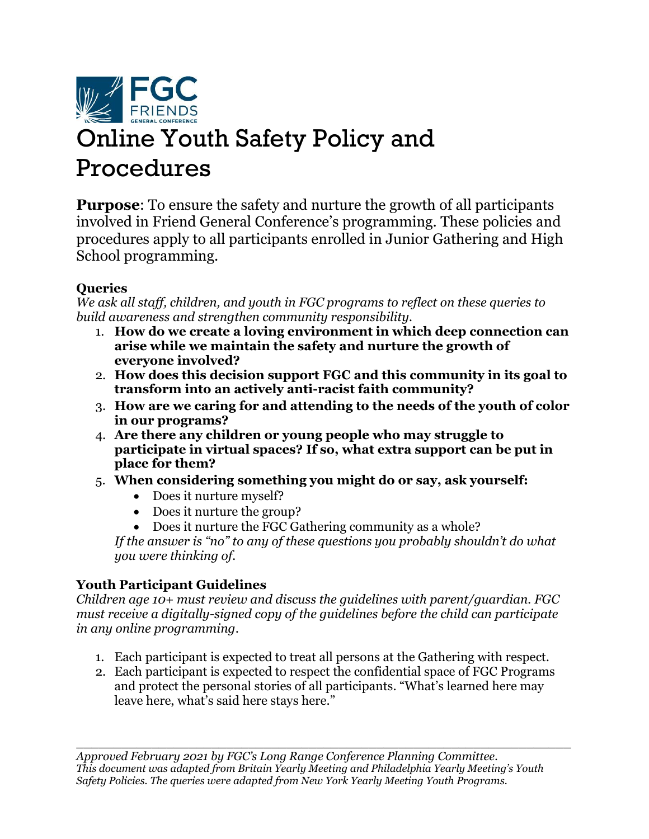

# Online Youth Safety Policy and Procedures

**Purpose**: To ensure the safety and nurture the growth of all participants involved in Friend General Conference's programming. These policies and procedures apply to all participants enrolled in Junior Gathering and High School programming.

## **Queries**

*We ask all staff, children, and youth in FGC programs to reflect on these queries to build awareness and strengthen community responsibility.*

- 1. **How do we create a loving environment in which deep connection can arise while we maintain the safety and nurture the growth of everyone involved?**
- 2. **How does this decision support FGC and this community in its goal to transform into an actively anti-racist faith community?**
- 3. **How are we caring for and attending to the needs of the youth of color in our programs?**
- 4. **Are there any children or young people who may struggle to participate in virtual spaces? If so, what extra support can be put in place for them?**
- 5. **When considering something you might do or say, ask yourself:**
	- Does it nurture myself?
	- Does it nurture the group?
	- Does it nurture the FGC Gathering community as a whole?

*If the answer is "no" to any of these questions you probably shouldn't do what you were thinking of.*

# **Youth Participant Guidelines**

*Children age 10+ must review and discuss the guidelines with parent/guardian. FGC must receive a digitally-signed copy of the guidelines before the child can participate in any online programming*.

- 1. Each participant is expected to treat all persons at the Gathering with respect.
- 2. Each participant is expected to respect the confidential space of FGC Programs and protect the personal stories of all participants. "What's learned here may leave here, what's said here stays here."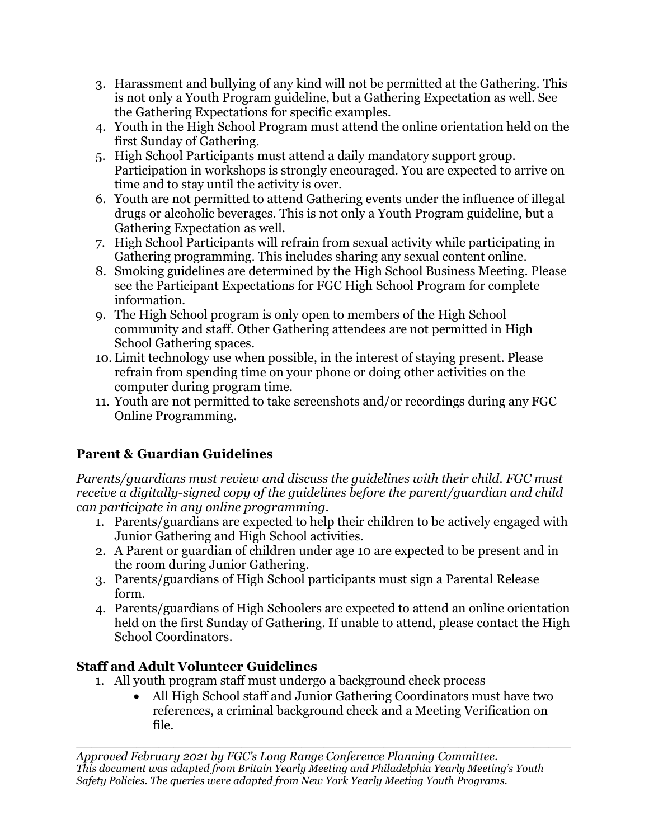- 3. Harassment and bullying of any kind will not be permitted at the Gathering. This is not only a Youth Program guideline, but a Gathering Expectation as well. See the Gathering Expectations for specific examples.
- 4. Youth in the High School Program must attend the online orientation held on the first Sunday of Gathering.
- 5. High School Participants must attend a daily mandatory support group. Participation in workshops is strongly encouraged. You are expected to arrive on time and to stay until the activity is over.
- 6. Youth are not permitted to attend Gathering events under the influence of illegal drugs or alcoholic beverages. This is not only a Youth Program guideline, but a Gathering Expectation as well.
- 7. High School Participants will refrain from sexual activity while participating in Gathering programming. This includes sharing any sexual content online.
- 8. Smoking guidelines are determined by the High School Business Meeting. Please see the [Participant Expectations for FGC High School Program](http://www.fgcquaker.org/sites/www.fgcquaker.org/files/attachments/Participant%20Expectations%20for%20FGC%20HS%20Program.pdf) for complete information.
- 9. The High School program is only open to members of the High School community and staff. Other Gathering attendees are not permitted in High School Gathering spaces.
- 10. Limit technology use when possible, in the interest of staying present. Please refrain from spending time on your phone or doing other activities on the computer during program time.
- 11. Youth are not permitted to take screenshots and/or recordings during any FGC Online Programming.

# **Parent & Guardian Guidelines**

*Parents/guardians must review and discuss the guidelines with their child. FGC must receive a digitally-signed copy of the guidelines before the parent/guardian and child can participate in any online programming*.

- 1. Parents/guardians are expected to help their children to be actively engaged with Junior Gathering and High School activities.
- 2. A Parent or guardian of children under age 10 are expected to be present and in the room during Junior Gathering.
- 3. Parents/guardians of High School participants must sign a Parental Release form.
- 4. Parents/guardians of High Schoolers are expected to attend an online orientation held on the first Sunday of Gathering. If unable to attend, please contact the High School Coordinators.

# **Staff and Adult Volunteer Guidelines**

- 1. All youth program staff must undergo a background check process
	- All High School staff and Junior Gathering Coordinators must have two references, a criminal background check and a Meeting Verification on file.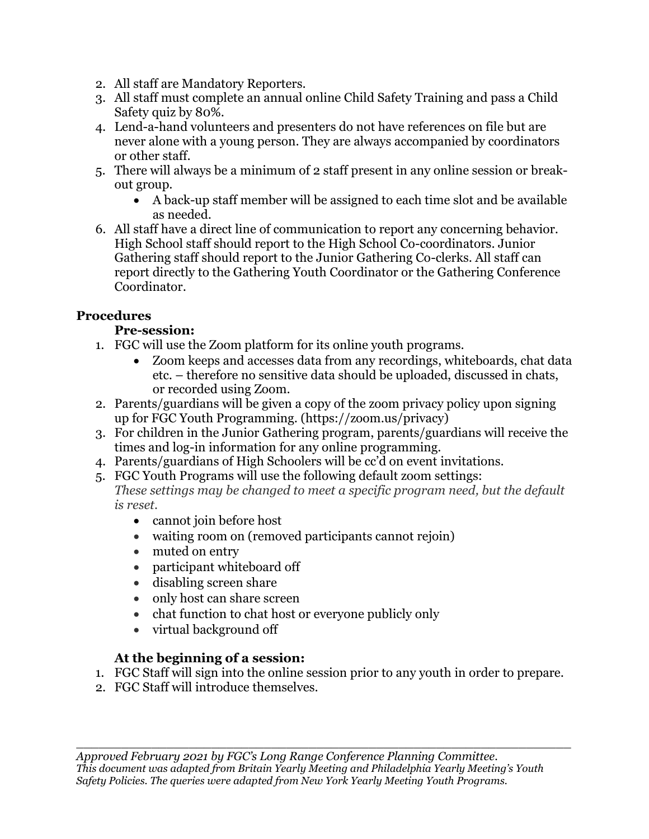- 2. All staff are Mandatory Reporters.
- 3. All staff must complete an annual online Child Safety Training and pass a Child Safety quiz by 80%.
- 4. Lend-a-hand volunteers and presenters do not have references on file but are never alone with a young person. They are always accompanied by coordinators or other staff.
- 5. There will always be a minimum of 2 staff present in any online session or breakout group.
	- A back-up staff member will be assigned to each time slot and be available as needed.
- 6. All staff have a direct line of communication to report any concerning behavior. High School staff should report to the High School Co-coordinators. Junior Gathering staff should report to the Junior Gathering Co-clerks. All staff can report directly to the Gathering Youth Coordinator or the Gathering Conference Coordinator.

#### **Procedures**

## **Pre-session:**

- 1. FGC will use the Zoom platform for its online youth programs.
	- Zoom keeps and accesses data from any recordings, whiteboards, chat data etc. – therefore no sensitive data should be uploaded, discussed in chats, or recorded using Zoom.
- 2. Parents/guardians will be given a copy of the zoom privacy policy upon signing up for FGC Youth Programming. (https://zoom.us/privacy)
- 3. For children in the Junior Gathering program, parents/guardians will receive the times and log-in information for any online programming.
- 4. Parents/guardians of High Schoolers will be cc'd on event invitations.
- 5. FGC Youth Programs will use the following default zoom settings:

*These settings may be changed to meet a specific program need, but the default is reset.*

- cannot join before host
- waiting room on (removed participants cannot rejoin)
- muted on entry
- participant whiteboard off
- disabling screen share
- only host can share screen
- chat function to chat host or everyone publicly only
- virtual background off

#### **At the beginning of a session:**

- 1. FGC Staff will sign into the online session prior to any youth in order to prepare.
- 2. FGC Staff will introduce themselves.

 $\_$  , and the set of the set of the set of the set of the set of the set of the set of the set of the set of the set of the set of the set of the set of the set of the set of the set of the set of the set of the set of th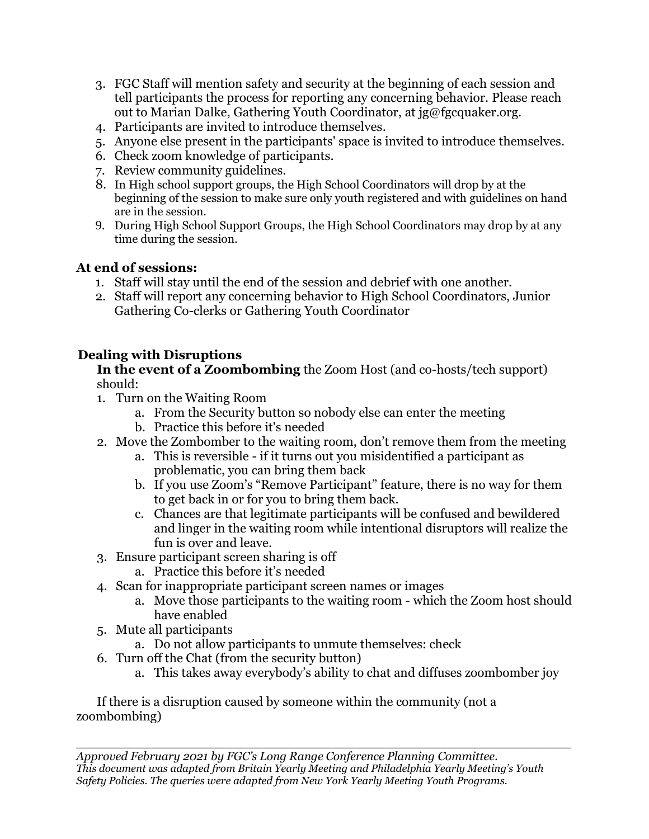- 3. FGC Staff will mention safety and security at the beginning of each session and tell participants the process for reporting any concerning behavior. Please reach out to Marian Dalke, Gathering Youth Coordinator, at jg@fgcquaker.org.
- 4. Participants are invited to introduce themselves.
- 5. Anyone else present in the participants' space is invited to introduce themselves.
- 6. Check zoom knowledge of participants.
- 7. Review community guidelines.
- 8. In High school support groups, the High School Coordinators will drop by at the beginning of the session to make sure only youth registered and with guidelines on hand are in the session.
- 9. During High School Support Groups, the High School Coordinators may drop by at any time during the session.

#### **At end of sessions:**

- 1. Staff will stay until the end of the session and debrief with one another.
- 2. Staff will report any concerning behavior to High School Coordinators, Junior Gathering Co-clerks or Gathering Youth Coordinator

#### **Dealing with Disruptions**

**In the event of a Zoombombing** the Zoom Host (and co-hosts/tech support) should:

- 1. Turn on the Waiting Room
	- a. From the Security button so nobody else can enter the meeting
	- b. Practice this before it's needed
- 2. Move the Zombomber to the waiting room, don't remove them from the meeting
	- a. This is reversible if it turns out you misidentified a participant as problematic, you can bring them back
	- b. If you use Zoom's "Remove Participant" feature, there is no way for them to get back in or for you to bring them back.
	- c. Chances are that legitimate participants will be confused and bewildered and linger in the waiting room while intentional disruptors will realize the fun is over and leave.
- 3. Ensure participant screen sharing is off
	- a. Practice this before it's needed
- 4. Scan for inappropriate participant screen names or images
	- a. Move those participants to the waiting room which the Zoom host should have enabled
- 5. Mute all participants
	- a. Do not allow participants to unmute themselves: check
- 6. Turn off the Chat (from the security button)
	- a. This takes away everybody's ability to chat and diffuses zoombomber joy

If there is a disruption caused by someone within the community (not a zoombombing)